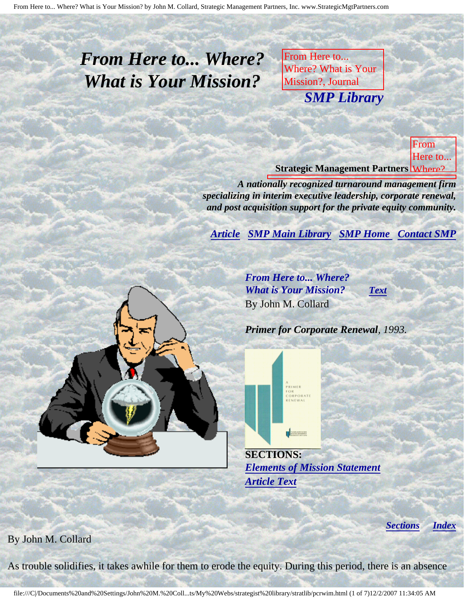<span id="page-0-4"></span>From Here to... Where? What is Your Mission? by John M. Collard, Strategic Management Partners, Inc. www.StrategicMgtPartners.com

## <span id="page-0-3"></span>*From Here to... Where? What is Your Mission?*

From Here to... Where? What is Your Mission?, Journal **Primer SMP Librar** Renewal, by John M. *SMP Library*

Management Partners,

Collard, Strategic

Inc., published by the published by **<u>Strategic Management Partners Where?</u>** From Here to...

*A nationally recognized turnaround management firm* specializing in interim executive leadership, corporate renewal,

<span id="page-0-0"></span>and post acquisition support for the private equity community.<br>*[Article](#page-0-0) SMP Main Library SMP Home Contact SMP* **SMP Main Library SMP Home Contact SMP** 

> *From Here to... Where? What is Your Mission? [Text](#page-0-1)* By John M. Collard

> > OR<br>CORPORATE

H

**Journal** 

Corporate Corporate Renewal, by John

Strategic

Partners,

publication of the control

Turnaround Management Association

Inc.,

Management

for

M.

*Primer for Corporate Renewal, 1993.*

**SECTIONS:** *[Elements of Mission Statement](#page-2-0) [Article Text](#page-0-1)*

*[Sections](#page-0-2) [Index](#page-0-3)*

<span id="page-0-2"></span><span id="page-0-1"></span>By John M. Collard

As trouble solidifies, it takes awhile for them to erode the equity. During this period, there is an absence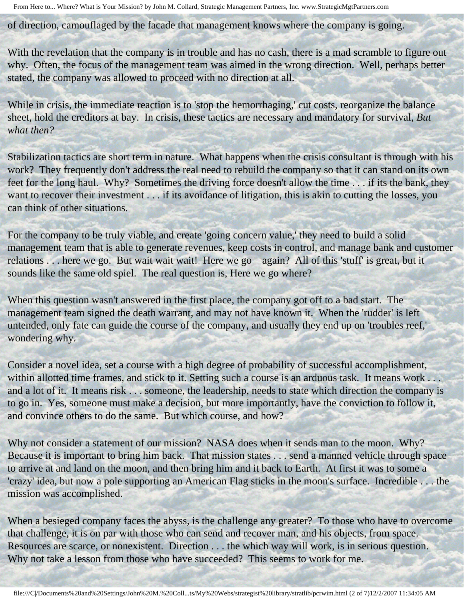of direction, camouflaged by the facade that management knows where the company is going.

With the revelation that the company is in trouble and has no cash, there is a mad scramble to figure out why. Often, the focus of the management team was aimed in the wrong direction. Well, perhaps better stated, the company was allowed to proceed with no direction at all.

While in crisis, the immediate reaction is to 'stop the hemorrhaging,' cut costs, reorganize the balance sheet, hold the creditors at bay. In crisis, these tactics are necessary and mandatory for survival, *But what then?*

Stabilization tactics are short term in nature. What happens when the crisis consultant is through with his work? They frequently don't address the real need to rebuild the company so that it can stand on its own feet for the long haul. Why? Sometimes the driving force doesn't allow the time . . . if its the bank, they want to recover their investment . . . if its avoidance of litigation, this is akin to cutting the losses, you can think of other situations.

For the company to be truly viable, and create 'going concern value,' they need to build a solid management team that is able to generate revenues, keep costs in control, and manage bank and customer relations . . . here we go. But wait wait wait! Here we go again? All of this 'stuff' is great, but it sounds like the same old spiel. The real question is, Here we go where?

When this question wasn't answered in the first place, the company got off to a bad start. The management team signed the death warrant, and may not have known it. When the 'rudder' is left untended, only fate can guide the course of the company, and usually they end up on 'troubles reef,' wondering why.

Consider a novel idea, set a course with a high degree of probability of successful accomplishment, within allotted time frames, and stick to it. Setting such a course is an arduous task. It means work . . . and a lot of it. It means risk . . . someone, the leadership, needs to state which direction the company is to go in. Yes, someone must make a decision, but more importantly, have the conviction to follow it, and convince others to do the same. But which course, and how?

Why not consider a statement of our mission? NASA does when it sends man to the moon. Why? Because it is important to bring him back. That mission states . . . send a manned vehicle through space to arrive at and land on the moon, and then bring him and it back to Earth. At first it was to some a 'crazy' idea, but now a pole supporting an American Flag sticks in the moon's surface. Incredible . . . the mission was accomplished.

When a besieged company faces the abyss, is the challenge any greater? To those who have to overcome that challenge, it is on par with those who can send and recover man, and his objects, from space. Resources are scarce, or nonexistent. Direction . . . the which way will work, is in serious question. Why not take a lesson from those who have succeeded? This seems to work for me.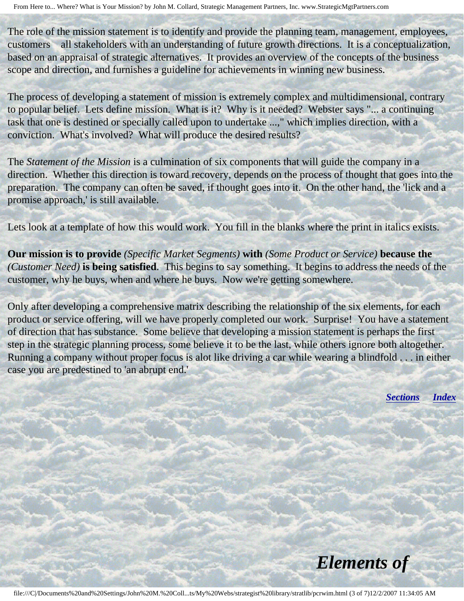The role of the mission statement is to identify and provide the planning team, management, employees, customers all stakeholders with an understanding of future growth directions. It is a conceptualization, based on an appraisal of strategic alternatives. It provides an overview of the concepts of the business scope and direction, and furnishes a guideline for achievements in winning new business.

The process of developing a statement of mission is extremely complex and multidimensional, contrary to popular belief. Lets define mission. What is it? Why is it needed? Webster says "... a continuing task that one is destined or specially called upon to undertake ...," which implies direction, with a conviction. What's involved? What will produce the desired results?

The *Statement of the Mission* is a culmination of six components that will guide the company in a direction. Whether this direction is toward recovery, depends on the process of thought that goes into the preparation. The company can often be saved, if thought goes into it. On the other hand, the 'lick and a promise approach,' is still available.

Lets look at a template of how this would work. You fill in the blanks where the print in italics exists.

**Our mission is to provide** *(Specific Market Segments)* **with** *(Some Product or Service)* **because the** *(Customer Need)* **is being satisfied**. This begins to say something. It begins to address the needs of the customer, why he buys, when and where he buys. Now we're getting somewhere.

<span id="page-2-0"></span>Only after developing a comprehensive matrix describing the relationship of the six elements, for each product or service offering, will we have properly completed our work. Surprise! You have a statement of direction that has substance. Some believe that developing a mission statement is perhaps the first step in the strategic planning process, some believe it to be the last, while others ignore both altogether. Running a company without proper focus is alot like driving a car while wearing a blindfold . . . in either case you are predestined to 'an abrupt end.'

*[Sections](#page-0-2) [Index](#page-0-3)*

*Elements of*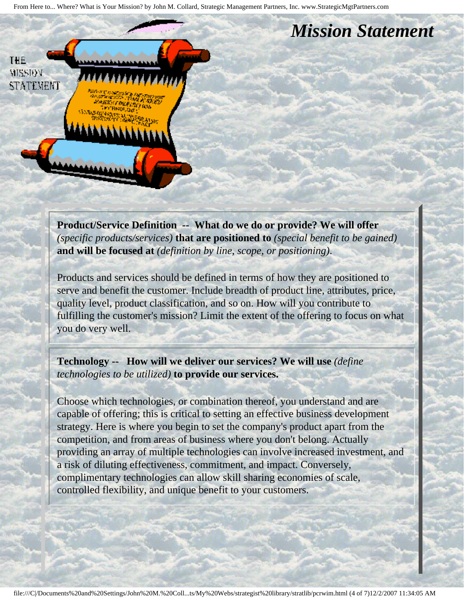From Here to... Where? What is Your Mission? by John M. Collard, Strategic Management Partners, Inc. www.StrategicMgtPartners.com

## *Mission Statement*

**THE MISSION STATEMENT** 

> **Product/Service Definition -- What do we do or provide? We will offer**  *(specific products/services)* **that are positioned to** *(special benefit to be gained)*  **and will be focused at** *(definition by line, scope, or positioning)*.

Products and services should be defined in terms of how they are positioned to serve and benefit the customer. Include breadth of product line, attributes, price, quality level, product classification, and so on. How will you contribute to fulfilling the customer's mission? Limit the extent of the offering to focus on what you do very well.

**Technology -- How will we deliver our services? We will use** *(define technologies to be utilized)* **to provide our services.**

Choose which technologies, or combination thereof, you understand and are capable of offering; this is critical to setting an effective business development strategy. Here is where you begin to set the company's product apart from the competition, and from areas of business where you don't belong. Actually providing an array of multiple technologies can involve increased investment, and a risk of diluting effectiveness, commitment, and impact. Conversely, complimentary technologies can allow skill sharing economies of scale, controlled flexibility, and unique benefit to your customers.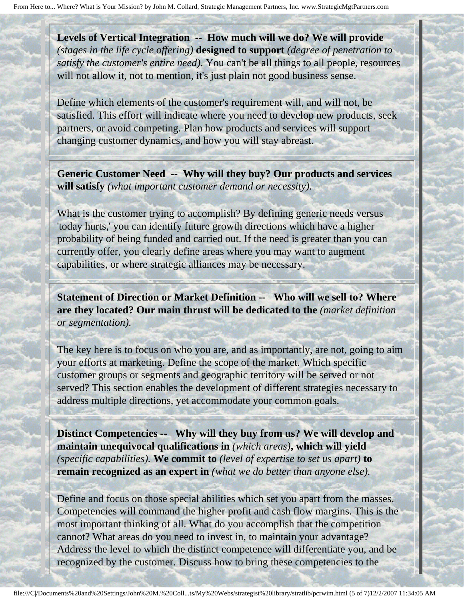**Levels of Vertical Integration -- How much will we do? We will provide**  *(stages in the life cycle offering)* **designed to support** *(degree of penetration to satisfy the customer's entire need).* You can't be all things to all people, resources will not allow it, not to mention, it's just plain not good business sense.

Define which elements of the customer's requirement will, and will not, be satisfied. This effort will indicate where you need to develop new products, seek partners, or avoid competing. Plan how products and services will support changing customer dynamics, and how you will stay abreast.

**Generic Customer Need -- Why will they buy? Our products and services will satisfy** *(what important customer demand or necessity).*

What is the customer trying to accomplish? By defining generic needs versus 'today hurts,' you can identify future growth directions which have a higher probability of being funded and carried out. If the need is greater than you can currently offer, you clearly define areas where you may want to augment capabilities, or where strategic alliances may be necessary.

**Statement of Direction or Market Definition -- Who will we sell to? Where are they located? Our main thrust will be dedicated to the** *(market definition or segmentation).*

The key here is to focus on who you are, and as importantly, are not, going to aim your efforts at marketing. Define the scope of the market. Which specific customer groups or segments and geographic territory will be served or not served? This section enables the development of different strategies necessary to address multiple directions, yet accommodate your common goals.

**Distinct Competencies -- Why will they buy from us? We will develop and maintain unequivocal qualifications in** *(which areas)***, which will yield**  *(specific capabilities).* **We commit to** *(level of expertise to set us apart)* **to remain recognized as an expert in** *(what we do better than anyone else).*

Define and focus on those special abilities which set you apart from the masses. Competencies will command the higher profit and cash flow margins. This is the most important thinking of all. What do you accomplish that the competition cannot? What areas do you need to invest in, to maintain your advantage? Address the level to which the distinct competence will differentiate you, and be recognized by the customer. Discuss how to bring these competencies to the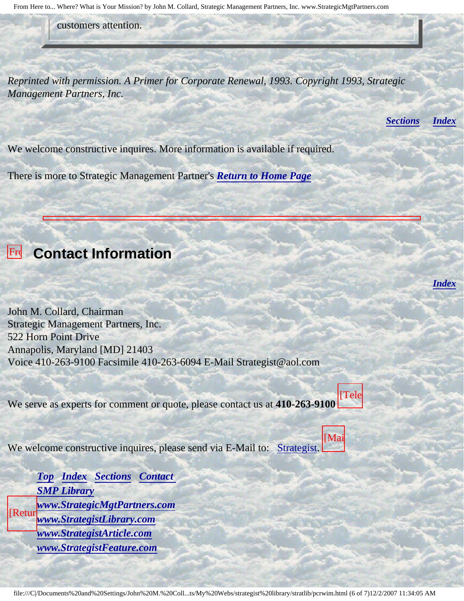From Here to... Where? What is Your Mission? by John M. Collard, Strategic Management Partners, Inc. www.StrategicMgtPartners.com

customers attention.

*Reprinted with permission. A Primer for Corporate Renewal, 1993. Copyright 1993, Strategic Management Partners, Inc.*

*[Sections](#page-0-2) [Index](#page-0-3)*

*[Index](#page-0-3)*

We welcome constructive inquires. More information is available if required.

There is more to Strategic Management Partner's *[Return to Home Page](http://members.aol.com/strategist/home.html#TOP)*

<span id="page-5-0"></span> $|Fr|$ Here

Where?

for

John

Corporate

**Small Company** 

## **Contact Information**

What John M. Collard, Chairman Strategic Management Partners, Inc. 522 Horn Point Drive Annapolis, Maryland [MD] 21403 Voice 410-263-9100 Facsimile 410-263-6094 E-Mail Strategist@aol.com

We serve as experts for comment or quote, please contact us at **410-263-9100** [Tele



 $W_{\alpha}$ Collard, We welcome constructive inquires, please send via E-Mail to: [Strategist.](mailto:Strategist@aol.com (library pcrwim))

[Mai

Strategic Management *[Top](#page-0-4) [Index](#page-0-3) [Sections](#page-0-2) [Contact](#page-5-0)*  **[SMP Library](http://members.aol.com/stratlib3/libindx.html)**  $\mathbf{I}$ published *[www.StrategistLibrary.com](http://www.strategistlibrary.com/)* by Turnaround *[www.StrategistFeature.com](http://www.strategistfeature.com/)*  $[Return]$ *[www.StrategicMgtPartners.com](http://www.strategicmgtpartners.com/) [www.StrategistArticle.com](http://www.strategistarticle.com/)*